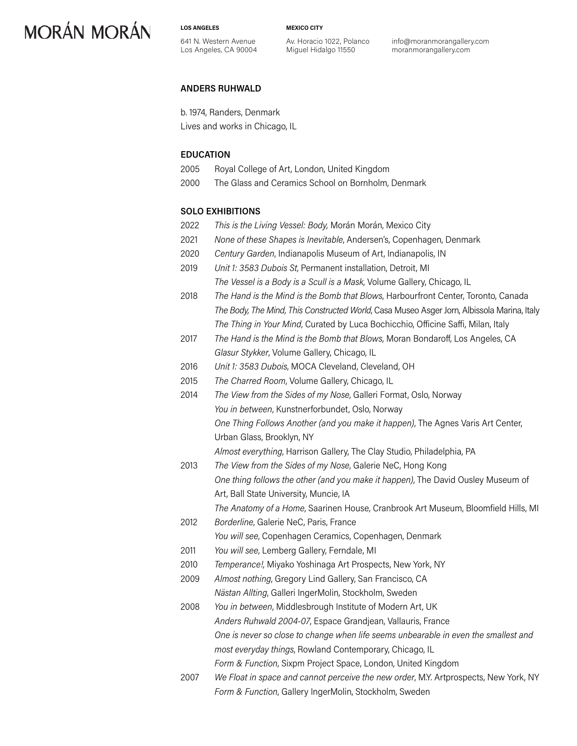**LOS ANGELES**

**MEXICO CITY**

641 N. Western Avenue Los Angeles, CA 90004 Av. Horacio 1022, Polanco Miguel Hidalgo 11550

info@moranmorangallery.com moranmorangallery.com

### **ANDERS RUHWALD**

b. 1974, Randers, Denmark Lives and works in Chicago, IL

### **EDUCATION**

- 2005 Royal College of Art, London, United Kingdom
- 2000 The Glass and Ceramics School on Bornholm, Denmark

### **SOLO EXHIBITIONS**

- 2022 *This is the Living Vessel: Body,* Morán Morán, Mexico City
- 2021 *None of these Shapes is Inevitable*, Andersen's, Copenhagen, Denmark
- 2020 *Century Garden*, Indianapolis Museum of Art, Indianapolis, IN
- 2019 *Unit 1: 3583 Dubois St*, Permanent installation, Detroit, MI *The Vessel is a Body is a Scull is a Mask*, Volume Gallery, Chicago, IL
- 2018 *The Hand is the Mind is the Bomb that Blows*, Harbourfront Center, Toronto, Canada *The Body, The Mind, This Constructed World*, Casa Museo Asger Jorn, Albissola Marina, Italy *The Thing in Your Mind*, Curated by Luca Bochicchio, Officine Saffi, Milan, Italy
- 2017 *The Hand is the Mind is the Bomb that Blows*, Moran Bondaroff, Los Angeles, CA *Glasur Stykker*, Volume Gallery, Chicago, IL
- 2016 *Unit 1: 3583 Dubois*, MOCA Cleveland, Cleveland, OH
- 2015 *The Charred Room*, Volume Gallery, Chicago, IL
- 2014 *The View from the Sides of my Nose*, Galleri Format, Oslo, Norway *You in between*, Kunstnerforbundet, Oslo, Norway *One Thing Follows Another (and you make it happen)*, The Agnes Varis Art Center, Urban Glass, Brooklyn, NY

*Almost everything*, Harrison Gallery, The Clay Studio, Philadelphia, PA

2013 *The View from the Sides of my Nose*, Galerie NeC, Hong Kong *One thing follows the other (and you make it happen)*, The David Ousley Museum of Art, Ball State University, Muncie, IA

*The Anatomy of a Home*, Saarinen House, Cranbrook Art Museum, Bloomfield Hills, MI

- 2012 *Borderline*, Galerie NeC, Paris, France
	- *You will see*, Copenhagen Ceramics, Copenhagen, Denmark
- 2011 *You will see*, Lemberg Gallery, Ferndale, MI
- 2010 *Temperance!*, Miyako Yoshinaga Art Prospects, New York, NY
- 2009 *Almost nothing*, Gregory Lind Gallery, San Francisco, CA *Nästan Allting*, Galleri IngerMolin, Stockholm, Sweden
- 2008 *You in between*, Middlesbrough Institute of Modern Art, UK *Anders Ruhwald 2004-07*, Espace Grandjean, Vallauris, France *One is never so close to change when life seems unbearable in even the smallest and most everyday things*, Rowland Contemporary, Chicago, IL *Form & Function*, Sixpm Project Space, London, United Kingdom
- 2007 *We Float in space and cannot perceive the new order*, M.Y. Artprospects, New York, NY *Form & Function*, Gallery IngerMolin, Stockholm, Sweden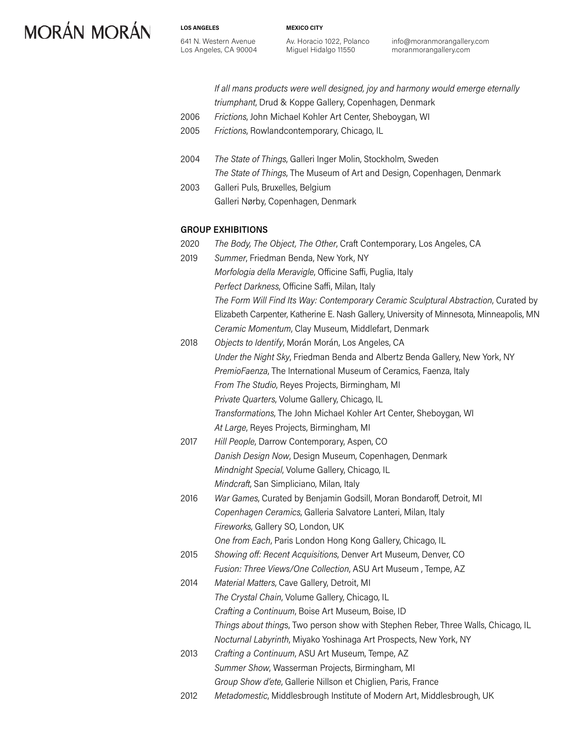**LOS ANGELES** 641 N. Western Avenue Los Angeles, CA 90004 **MEXICO CITY**

Av. Horacio 1022, Polanco Miguel Hidalgo 11550

info@moranmorangallery.com moranmorangallery.com

*If all mans products were well designed, joy and harmony would emerge eternally triumphant*, Drud & Koppe Gallery, Copenhagen, Denmark

- 2006 *Frictions*, John Michael Kohler Art Center, Sheboygan, WI
- 2005 *Frictions*, Rowlandcontemporary, Chicago, IL
- 2004 *The State of Things*, Galleri Inger Molin, Stockholm, Sweden *The State of Things*, The Museum of Art and Design, Copenhagen, Denmark 2003 Galleri Puls, Bruxelles, Belgium
	- Galleri Nørby, Copenhagen, Denmark

### **GROUP EXHIBITIONS**

- 2020 *The Body, The Object, The Other*, Craft Contemporary, Los Angeles, CA 2019 *Summer*, Friedman Benda, New York, NY *Morfologia della Meravigle*, Officine Saffi, Puglia, Italy *Perfect Darkness*, Officine Saffi, Milan, Italy *The Form Will Find Its Way: Contemporary Ceramic Sculptural Abstraction*, Curated by Elizabeth Carpenter, Katherine E. Nash Gallery, University of Minnesota, Minneapolis, MN *Ceramic Momentum*, Clay Museum, Middlefart, Denmark
- 2018 *Objects to Identify*, Morán Morán, Los Angeles, CA *Under the Night Sky*, Friedman Benda and Albertz Benda Gallery, New York, NY *PremioFaenza*, The International Museum of Ceramics, Faenza, Italy *From The Studio*, Reyes Projects, Birmingham, MI *Private Quarters*, Volume Gallery, Chicago, IL *Transformations*, The John Michael Kohler Art Center, Sheboygan, WI *At Large*, Reyes Projects, Birmingham, MI
- 2017 *Hill People*, Darrow Contemporary, Aspen, CO *Danish Design Now*, Design Museum, Copenhagen, Denmark *Mindnight Special*, Volume Gallery, Chicago, IL *Mindcraft*, San Simpliciano, Milan, Italy
- 2016 *War Games*, Curated by Benjamin Godsill, Moran Bondaroff, Detroit, MI *Copenhagen Ceramics*, Galleria Salvatore Lanteri, Milan, Italy *Fireworks*, Gallery SO, London, UK *One from Each*, Paris London Hong Kong Gallery, Chicago, IL
- 2015 *Showing off: Recent Acquisitions*, Denver Art Museum, Denver, CO *Fusion: Three Views/One Collection*, ASU Art Museum , Tempe, AZ
- 2014 *Material Matters*, Cave Gallery, Detroit, MI *The Crystal Chain*, Volume Gallery, Chicago, IL *Crafting a Continuum*, Boise Art Museum, Boise, ID *Things about thing*s, Two person show with Stephen Reber, Three Walls, Chicago, IL *Nocturnal Labyrinth*, Miyako Yoshinaga Art Prospects, New York, NY
- 2013 *Crafting a Continuum*, ASU Art Museum, Tempe, AZ *Summer Show*, Wasserman Projects, Birmingham, MI *Group Show d'ete*, Gallerie Nillson et Chiglien, Paris, France
- 2012 *Metadomestic*, Middlesbrough Institute of Modern Art, Middlesbrough, UK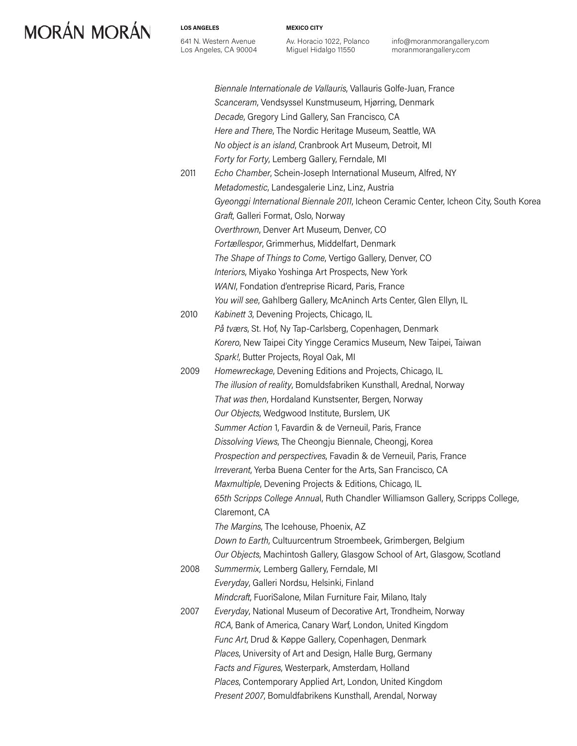641 N. Western Avenue Los Angeles, CA 90004

**LOS ANGELES**

Av. Horacio 1022, Polanco Miguel Hidalgo 11550

**MEXICO CITY**

info@moranmorangallery.com moranmorangallery.com

*Biennale Internationale de Vallauris*, Vallauris Golfe-Juan, France *Scanceram*, Vendsyssel Kunstmuseum, Hjørring, Denmark *Decade*, Gregory Lind Gallery, San Francisco, CA *Here and There*, The Nordic Heritage Museum, Seattle, WA *No object is an island*, Cranbrook Art Museum, Detroit, MI *Forty for Forty*, Lemberg Gallery, Ferndale, MI 2011 *Echo Chamber*, Schein-Joseph International Museum, Alfred, NY *Metadomestic*, Landesgalerie Linz, Linz, Austria *Gyeonggi International Biennale 2011*, Icheon Ceramic Center, Icheon City, South Korea *Graft*, Galleri Format, Oslo, Norway *Overthrown*, Denver Art Museum, Denver, CO *Fortællespor*, Grimmerhus, Middelfart, Denmark *The Shape of Things to Come*, Vertigo Gallery, Denver, CO *Interiors*, Miyako Yoshinga Art Prospects, New York *WANI*, Fondation d'entreprise Ricard, Paris, France *You will see*, Gahlberg Gallery, McAninch Arts Center, Glen Ellyn, IL 2010 *Kabinett 3*, Devening Projects, Chicago, IL *På tværs*, St. Hof, Ny Tap-Carlsberg, Copenhagen, Denmark *Korero*, New Taipei City Yingge Ceramics Museum, New Taipei, Taiwan *Spark!*, Butter Projects, Royal Oak, MI 2009 *Homewreckage*, Devening Editions and Projects, Chicago, IL *The illusion of reality*, Bomuldsfabriken Kunsthall, Arednal, Norway *That was then*, Hordaland Kunstsenter, Bergen, Norway *Our Objects*, Wedgwood Institute, Burslem, UK *Summer Action* 1, Favardin & de Verneuil, Paris, France *Dissolving Views*, The Cheongju Biennale, Cheongj, Korea *Prospection and perspectives*, Favadin & de Verneuil, Paris, France *Irreverant*, Yerba Buena Center for the Arts, San Francisco, CA *Maxmultiple*, Devening Projects & Editions, Chicago, IL *65th Scripps College Annua*l, Ruth Chandler Williamson Gallery, Scripps College, Claremont, CA *The Margins*, The Icehouse, Phoenix, AZ *Down to Earth*, Cultuurcentrum Stroembeek, Grimbergen, Belgium *Our Objects*, Machintosh Gallery, Glasgow School of Art, Glasgow, Scotland 2008 *Summermix,* Lemberg Gallery, Ferndale, MI *Everyday*, Galleri Nordsu, Helsinki, Finland *Mindcraft*, FuoriSalone, Milan Furniture Fair, Milano, Italy 2007 *Everyday*, National Museum of Decorative Art, Trondheim, Norway *RCA*, Bank of America, Canary Warf, London, United Kingdom *Func Art*, Drud & Køppe Gallery, Copenhagen, Denmark *Places*, University of Art and Design, Halle Burg, Germany *Facts and Figures*, Westerpark, Amsterdam, Holland *Places*, Contemporary Applied Art, London, United Kingdom *Present 2007*, Bomuldfabrikens Kunsthall, Arendal, Norway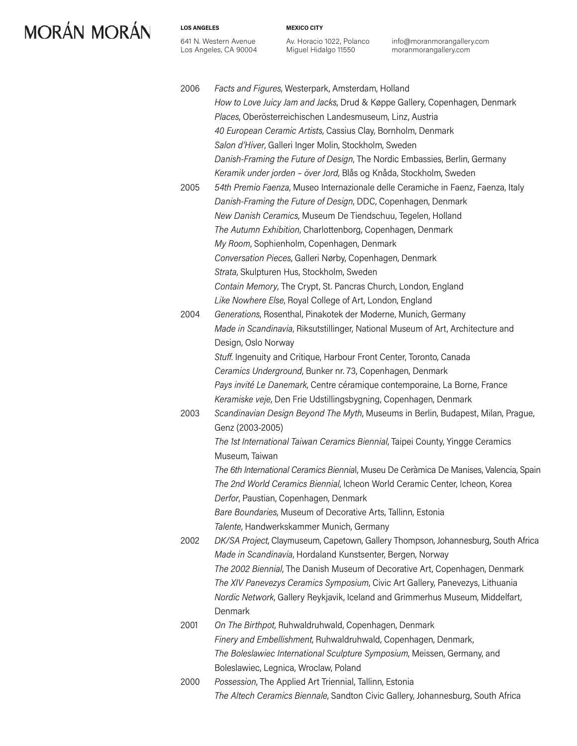#### **LOS ANGELES**

641 N. Western Avenue Los Angeles, CA 90004 **MEXICO CITY**

Av. Horacio 1022, Polanco Miguel Hidalgo 11550

info@moranmorangallery.com moranmorangallery.com

| 2006 | Facts and Figures, Westerpark, Amsterdam, Holland                                      |
|------|----------------------------------------------------------------------------------------|
|      | How to Love Juicy Jam and Jacks, Drud & Køppe Gallery, Copenhagen, Denmark             |
|      | Places, Oberösterreichischen Landesmuseum, Linz, Austria                               |
|      | 40 European Ceramic Artists, Cassius Clay, Bornholm, Denmark                           |
|      | Salon d'Hiver, Galleri Inger Molin, Stockholm, Sweden                                  |
|      | Danish-Framing the Future of Design, The Nordic Embassies, Berlin, Germany             |
|      |                                                                                        |
|      | Keramik under jorden - över Jord, Blås og Knåda, Stockholm, Sweden                     |
| 2005 | 54th Premio Faenza, Museo Internazionale delle Ceramiche in Faenz, Faenza, Italy       |
|      | Danish-Framing the Future of Design, DDC, Copenhagen, Denmark                          |
|      | New Danish Ceramics, Museum De Tiendschuu, Tegelen, Holland                            |
|      | The Autumn Exhibition, Charlottenborg, Copenhagen, Denmark                             |
|      | My Room, Sophienholm, Copenhagen, Denmark                                              |
|      | Conversation Pieces, Galleri Nørby, Copenhagen, Denmark                                |
|      | Strata, Skulpturen Hus, Stockholm, Sweden                                              |
|      | Contain Memory, The Crypt, St. Pancras Church, London, England                         |
|      | Like Nowhere Else, Royal College of Art, London, England                               |
| 2004 | Generations, Rosenthal, Pinakotek der Moderne, Munich, Germany                         |
|      | Made in Scandinavia, Riksutstillinger, National Museum of Art, Architecture and        |
|      | Design, Oslo Norway                                                                    |
|      | Stuff. Ingenuity and Critique, Harbour Front Center, Toronto, Canada                   |
|      | Ceramics Underground, Bunker nr. 73, Copenhagen, Denmark                               |
|      | Pays invité Le Danemark, Centre céramique contemporaine, La Borne, France              |
|      | Keramiske veje, Den Frie Udstillingsbygning, Copenhagen, Denmark                       |
| 2003 | Scandinavian Design Beyond The Myth, Museums in Berlin, Budapest, Milan, Prague,       |
|      | Genz (2003-2005)                                                                       |
|      | The 1st International Taiwan Ceramics Biennial, Taipei County, Yingge Ceramics         |
|      | Museum, Taiwan                                                                         |
|      | The 6th International Ceramics Biennial, Museu De Ceràmica De Manises, Valencia, Spain |
|      | The 2nd World Ceramics Biennial, Icheon World Ceramic Center, Icheon, Korea            |
|      | Derfor, Paustian, Copenhagen, Denmark                                                  |
|      | Bare Boundaries, Museum of Decorative Arts, Tallinn, Estonia                           |
|      | Talente, Handwerkskammer Munich, Germany                                               |
| 2002 | DK/SA Project, Claymuseum, Capetown, Gallery Thompson, Johannesburg, South Africa      |
|      | Made in Scandinavia, Hordaland Kunstsenter, Bergen, Norway                             |
|      | The 2002 Biennial, The Danish Museum of Decorative Art, Copenhagen, Denmark            |
|      | The XIV Panevezys Ceramics Symposium, Civic Art Gallery, Panevezys, Lithuania          |
|      | Nordic Network, Gallery Reykjavik, Iceland and Grimmerhus Museum, Middelfart,          |
|      | Denmark                                                                                |
| 2001 | On The Birthpot, Ruhwaldruhwald, Copenhagen, Denmark                                   |
|      | Finery and Embellishment, Ruhwaldruhwald, Copenhagen, Denmark,                         |
|      | The Boleslawiec International Sculpture Symposium, Meissen, Germany, and               |
|      | Boleslawiec, Legnica, Wroclaw, Poland                                                  |
| 2000 | Possession, The Applied Art Triennial, Tallinn, Estonia                                |
|      |                                                                                        |
|      | The Altech Ceramics Biennale, Sandton Civic Gallery, Johannesburg, South Africa        |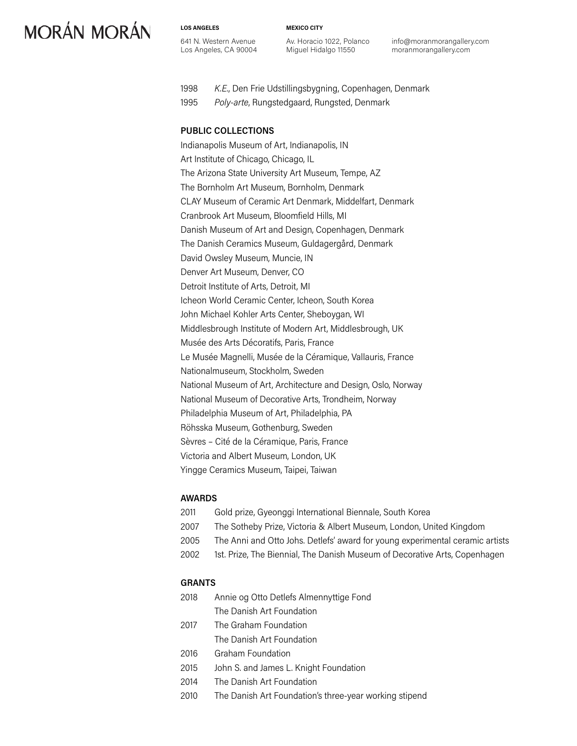**LOS ANGELES** 641 N. Western Avenue Los Angeles, CA 90004 **MEXICO CITY**

Av. Horacio 1022, Polanco Miguel Hidalgo 11550

info@moranmorangallery.com moranmorangallery.com

- 1998 *K.E.*, Den Frie Udstillingsbygning, Copenhagen, Denmark
- 1995 *Poly-arte*, Rungstedgaard, Rungsted, Denmark

## **PUBLIC COLLECTIONS**

Indianapolis Museum of Art, Indianapolis, IN Art Institute of Chicago, Chicago, IL The Arizona State University Art Museum, Tempe, AZ The Bornholm Art Museum, Bornholm, Denmark CLAY Museum of Ceramic Art Denmark, Middelfart, Denmark Cranbrook Art Museum, Bloomfield Hills, MI Danish Museum of Art and Design, Copenhagen, Denmark The Danish Ceramics Museum, Guldagergård, Denmark David Owsley Museum, Muncie, IN Denver Art Museum, Denver, CO Detroit Institute of Arts, Detroit, MI Icheon World Ceramic Center, Icheon, South Korea John Michael Kohler Arts Center, Sheboygan, WI Middlesbrough Institute of Modern Art, Middlesbrough, UK Musée des Arts Décoratifs, Paris, France Le Musée Magnelli, Musée de la Céramique, Vallauris, France Nationalmuseum, Stockholm, Sweden National Museum of Art, Architecture and Design, Oslo, Norway National Museum of Decorative Arts, Trondheim, Norway Philadelphia Museum of Art, Philadelphia, PA Röhsska Museum, Gothenburg, Sweden Sèvres – Cité de la Céramique, Paris, France Victoria and Albert Museum, London, UK Yingge Ceramics Museum, Taipei, Taiwan

### **AWARDS**

| 2011 | Gold prize, Gyeonggi International Biennale, South Korea                      |
|------|-------------------------------------------------------------------------------|
| 2007 | The Sotheby Prize, Victoria & Albert Museum, London, United Kingdom           |
| 2005 | The Anni and Otto Johs. Detlefs' award for young experimental ceramic artists |
| 2002 | 1st. Prize, The Biennial, The Danish Museum of Decorative Arts, Copenhagen    |
|      |                                                                               |

## **GRANTS**

- 2018 Annie og Otto Detlefs Almennyttige Fond The Danish Art Foundation
- 2017 The Graham Foundation The Danish Art Foundation
- 2016 Graham Foundation
- 2015 John S. and James L. Knight Foundation
- 2014 The Danish Art Foundation
- 2010 The Danish Art Foundation's three-year working stipend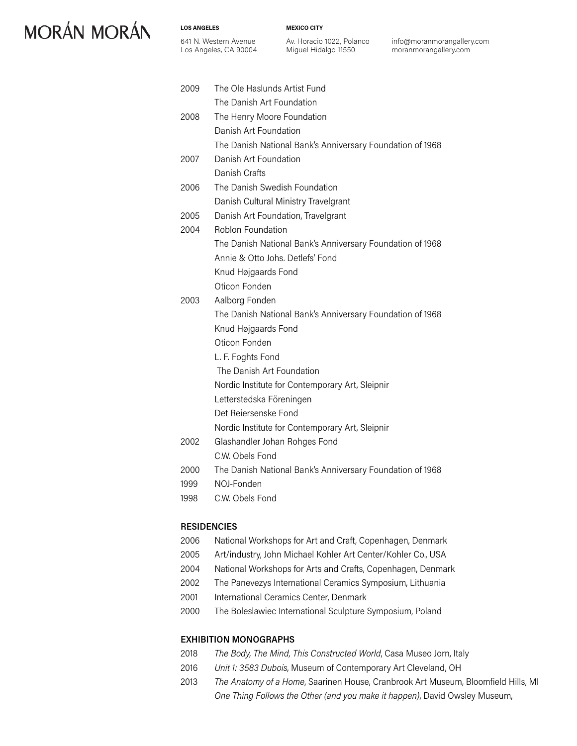**LOS ANGELES**

641 N. Western Avenue Los Angeles, CA 90004 **MEXICO CITY**

Av. Horacio 1022, Polanco Miguel Hidalgo 11550

info@moranmorangallery.com moranmorangallery.com

| 2009 | The Ole Haslunds Artist Fund                              |
|------|-----------------------------------------------------------|
|      | The Danish Art Foundation                                 |
| 2008 | The Henry Moore Foundation                                |
|      | Danish Art Foundation                                     |
|      | The Danish National Bank's Anniversary Foundation of 1968 |
| 2007 | Danish Art Foundation                                     |
|      | Danish Crafts                                             |
| 2006 | The Danish Swedish Foundation                             |
|      | Danish Cultural Ministry Travelgrant                      |
| 2005 | Danish Art Foundation, Travelgrant                        |
| 2004 | <b>Roblon Foundation</b>                                  |
|      | The Danish National Bank's Anniversary Foundation of 1968 |
|      | Annie & Otto Johs, Detlefs' Fond                          |
|      | Knud Højgaards Fond                                       |
|      | Oticon Fonden                                             |
| 2003 | Aalborg Fonden                                            |
|      | The Danish National Bank's Anniversary Foundation of 1968 |
|      | Knud Højgaards Fond                                       |
|      | Oticon Fonden                                             |
|      | L. F. Foghts Fond                                         |
|      | The Danish Art Foundation                                 |
|      | Nordic Institute for Contemporary Art, Sleipnir           |
|      | Letterstedska Föreningen                                  |
|      | Det Reiersenske Fond                                      |
|      | Nordic Institute for Contemporary Art, Sleipnir           |
| 2002 | Glashandler Johan Rohges Fond                             |
|      | C.W. Obels Fond                                           |
| 2000 | The Danish National Bank's Anniversary Foundation of 1968 |
| 1999 | NOI-Fonden                                                |
| 1998 | C.W. Obels Fond                                           |

### **RESIDENCIES**

- 2006 National Workshops for Art and Craft, Copenhagen, Denmark
- 2005 Art/industry, John Michael Kohler Art Center/Kohler Co., USA
- 2004 National Workshops for Arts and Crafts, Copenhagen, Denmark
- 2002 The Panevezys International Ceramics Symposium, Lithuania
- 2001 International Ceramics Center, Denmark
- 2000 The Boleslawiec International Sculpture Symposium, Poland

#### **EXHIBITION MONOGRAPHS**

- 2018 *The Body, The Mind, This Constructed World*, Casa Museo Jorn, Italy
- 2016 *Unit 1: 3583 Dubois*, Museum of Contemporary Art Cleveland, OH
- 2013 *The Anatomy of a Home*, Saarinen House, Cranbrook Art Museum, Bloomfield Hills, MI *One Thing Follows the Other (and you make it happen)*, David Owsley Museum,